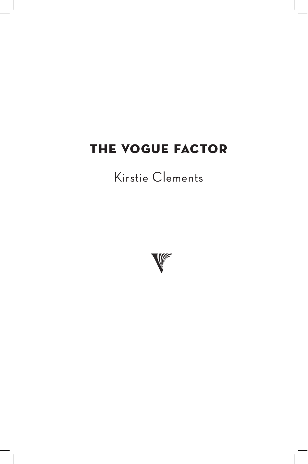# THE VOGUE FACTOR

Kirstie Clements

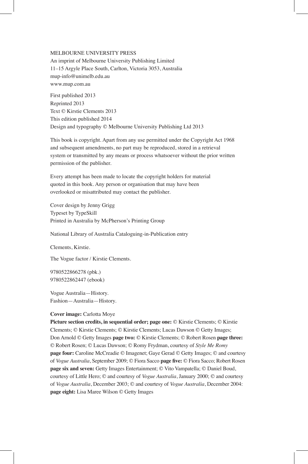### MELBOURNE UNIVERSITY PRESS

An imprint of Melbourne University Publishing Limited 11–15 Argyle Place South, Carlton, Victoria 3053, Australia mup-info@unimelb.edu.au www.mup.com.au

First published 2013 Reprinted 2013 Text © Kirstie Clements 2013 This edition published 2014 Design and typography © Melbourne University Publishing Ltd 2013

This book is copyright. Apart from any use permitted under the Copyright Act 1968 and subsequent amendments, no part may be reproduced, stored in a retrieval system or transmitted by any means or process whatsoever without the prior written permission of the publisher.

Every attempt has been made to locate the copyright holders for material quoted in this book. Any person or organisation that may have been overlooked or misattributed may contact the publisher.

Cover design by Jenny Grigg Typeset by TypeSkill Printed in Australia by McPherson's Printing Group

National Library of Australia Cataloguing-in-Publication entry

Clements, Kirstie.

The Vogue factor / Kirstie Clements.

9780522866278 (pbk.) 9780522862447 (ebook)

Vogue Australia—History. Fashion—Australia—History.

#### **Cover image:** Carlotta Moye

**Picture section credits, in sequential order; page one:** © Kirstie Clements; © Kirstie Clements; © Kirstie Clements; © Kirstie Clements; Lucas Dawson © Getty Images; Don Arnold © Getty Images **page two:** © Kirstie Clements; © Robert Rosen **page three:** © Robert Rosen; © Lucas Dawson; © Romy Frydman, courtesy of *Style Me Romy* **page four:** Caroline McCreadie © Imagenet; Gaye Gerad © Getty Images; © and courtesy of *Vogue Australia*, September 2009; © Fiora Sacco **page five:** © Fiora Sacco; Robert Rosen **page six and seven:** Getty Images Entertainment; © Vito Vampatella; © Daniel Boud, courtesy of Little Hero; © and courtesy of *Vogue Australia*, January 2000; © and courtesy of *Vogue Australia*, December 2003; © and courtesy of *Vogue Australia*, December 2004: **page eight:** Lisa Maree Wilson © Getty Images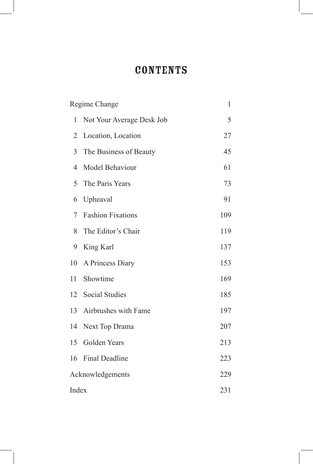## **CONTENTS**

| Regime Change    |                           | 1   |
|------------------|---------------------------|-----|
| 1                | Not Your Average Desk Job | 5   |
| $\overline{2}$   | Location, Location        | 27  |
| $\overline{3}$   | The Business of Beauty    | 45  |
| $\overline{4}$   | Model Behaviour           | 61  |
| 5                | The Paris Years           | 73  |
| 6                | Upheaval                  | 91  |
| 7                | <b>Fashion Fixations</b>  | 109 |
| 8                | The Editor's Chair        | 119 |
| 9                | King Karl                 | 137 |
| 10               | A Princess Diary          | 153 |
| 11               | Showtime                  | 169 |
| 12               | <b>Social Studies</b>     | 185 |
| 13               | Airbrushes with Fame      | 197 |
| 14               | Next Top Drama            | 207 |
|                  | 15 Golden Years           | 213 |
| 16               | Final Deadline            | 223 |
| Acknowledgements |                           | 229 |
| Index            |                           | 231 |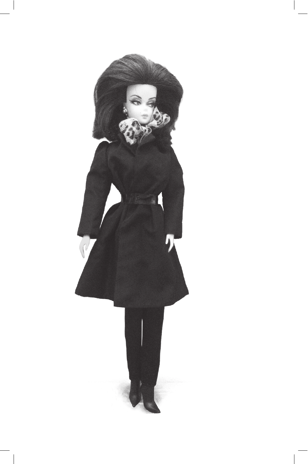

 $\overline{\phantom{a}}$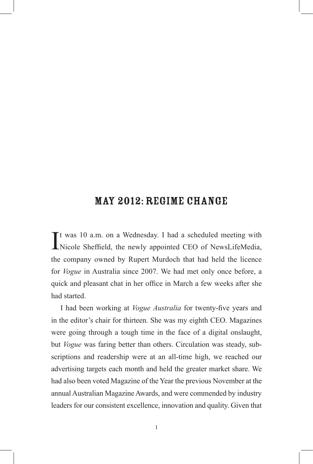### May 2012: Regime Change

It was 10 a.m. on a Wednesday. I had a scheduled meeting with<br>Nicole Sheffield, the newly appointed CEO of NewsLifeMedia, t was 10 a.m. on a Wednesday. I had a scheduled meeting with the company owned by Rupert Murdoch that had held the licence for *Vogue* in Australia since 2007. We had met only once before, a quick and pleasant chat in her office in March a few weeks after she had started.

I had been working at *Vogue Australia* for twenty-five years and in the editor's chair for thirteen. She was my eighth CEO. Magazines were going through a tough time in the face of a digital onslaught, but *Vogue* was faring better than others. Circulation was steady, subscriptions and readership were at an all-time high, we reached our advertising targets each month and held the greater market share. We had also been voted Magazine of the Year the previous November at the annual Australian Magazine Awards, and were commended by industry leaders for our consistent excellence, innovation and quality. Given that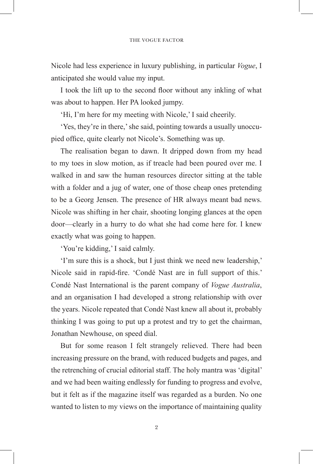Nicole had less experience in luxury publishing, in particular *Vogue*, I anticipated she would value my input.

I took the lift up to the second floor without any inkling of what was about to happen. Her PA looked jumpy.

'Hi, I'm here for my meeting with Nicole,' I said cheerily.

'Yes, they're in there,' she said, pointing towards a usually unoccupied office, quite clearly not Nicole's. Something was up.

The realisation began to dawn. It dripped down from my head to my toes in slow motion, as if treacle had been poured over me. I walked in and saw the human resources director sitting at the table with a folder and a jug of water, one of those cheap ones pretending to be a Georg Jensen. The presence of HR always meant bad news. Nicole was shifting in her chair, shooting longing glances at the open door—clearly in a hurry to do what she had come here for. I knew exactly what was going to happen.

'You're kidding,' I said calmly.

'I'm sure this is a shock, but I just think we need new leadership,' Nicole said in rapid-fire. 'Condé Nast are in full support of this.' Condé Nast International is the parent company of *Vogue Australia*, and an organisation I had developed a strong relationship with over the years. Nicole repeated that Condé Nast knew all about it, probably thinking I was going to put up a protest and try to get the chairman, Jonathan Newhouse, on speed dial.

But for some reason I felt strangely relieved. There had been increasing pressure on the brand, with reduced budgets and pages, and the retrenching of crucial editorial staff. The holy mantra was 'digital' and we had been waiting endlessly for funding to progress and evolve, but it felt as if the magazine itself was regarded as a burden. No one wanted to listen to my views on the importance of maintaining quality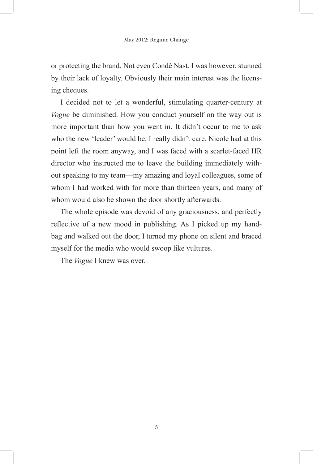or protecting the brand. Not even Condé Nast. I was however, stunned by their lack of loyalty. Obviously their main interest was the licensing cheques.

I decided not to let a wonderful, stimulating quarter-century at *Vogue* be diminished. How you conduct yourself on the way out is more important than how you went in. It didn't occur to me to ask who the new 'leader' would be. I really didn't care. Nicole had at this point left the room anyway, and I was faced with a scarlet-faced HR director who instructed me to leave the building immediately without speaking to my team—my amazing and loyal colleagues, some of whom I had worked with for more than thirteen years, and many of whom would also be shown the door shortly afterwards.

The whole episode was devoid of any graciousness, and perfectly reflective of a new mood in publishing. As I picked up my handbag and walked out the door, I turned my phone on silent and braced myself for the media who would swoop like vultures.

The *Vogue* I knew was over.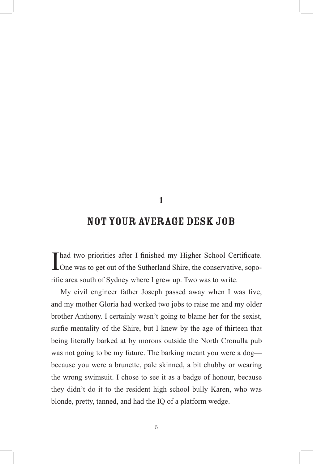1

## Not Your Average Desk Job

Thad two priorities after I finished my Higher School Certificate. Lone was to get out of the Sutherland Shire, the conservative, soporific area south of Sydney where I grew up. Two was to write.

My civil engineer father Joseph passed away when I was five, and my mother Gloria had worked two jobs to raise me and my older brother Anthony. I certainly wasn't going to blame her for the sexist, surfie mentality of the Shire, but I knew by the age of thirteen that being literally barked at by morons outside the North Cronulla pub was not going to be my future. The barking meant you were a dog because you were a brunette, pale skinned, a bit chubby or wearing the wrong swimsuit. I chose to see it as a badge of honour, because they didn't do it to the resident high school bully Karen, who was blonde, pretty, tanned, and had the IQ of a platform wedge.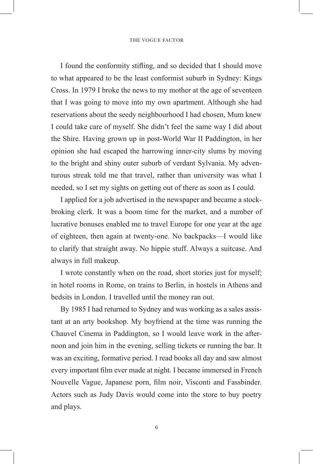I found the conformity stifling, and so decided that I should move to what appeared to be the least conformist suburb in Sydney: Kings Cross. In 1979 I broke the news to my mother at the age of seventeen that I was going to move into my own apartment. Although she had reservations about the seedy neighbourhood I had chosen, Mum knew I could take care of myself. She didn't feel the same way I did about the Shire. Having grown up in post-World War II Paddington, in her opinion she had escaped the harrowing inner-city slums by moving to the bright and shiny outer suburb of verdant Sylvania. My adventurous streak told me that travel, rather than university was what I needed, so I set my sights on getting out of there as soon as I could.

I applied for a job advertised in the newspaper and became a stockbroking clerk. It was a boom time for the market, and a number of lucrative bonuses enabled me to travel Europe for one year at the age of eighteen, then again at twenty-one. No backpacks—I would like to clarify that straight away. No hippie stuff. Always a suitcase. And always in full makeup.

I wrote constantly when on the road, short stories just for myself; in hotel rooms in Rome, on trains to Berlin, in hostels in Athens and bedsits in London. I travelled until the money ran out.

By 1985 I had returned to Sydney and was working as a sales assistant at an arty bookshop. My boyfriend at the time was running the Chauvel Cinema in Paddington, so I would leave work in the afternoon and join him in the evening, selling tickets or running the bar. It was an exciting, formative period. I read books all day and saw almost every important film ever made at night. I became immersed in French Nouvelle Vague, Japanese porn, film noir, Visconti and Fassbinder. Actors such as Judy Davis would come into the store to buy poetry and plays.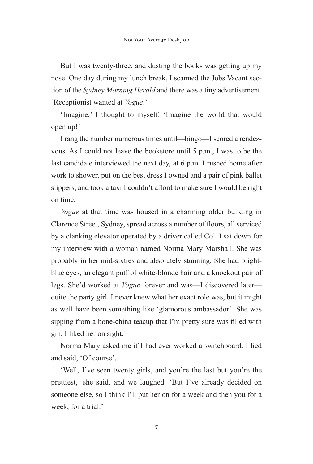But I was twenty-three, and dusting the books was getting up my nose. One day during my lunch break, I scanned the Jobs Vacant section of the *Sydney Morning Herald* and there was a tiny advertisement. 'Receptionist wanted at *Vogue*.'

'Imagine,' I thought to myself. 'Imagine the world that would open up!'

I rang the number numerous times until—bingo—I scored a rendezvous. As I could not leave the bookstore until 5 p.m., I was to be the last candidate interviewed the next day, at 6 p.m. I rushed home after work to shower, put on the best dress I owned and a pair of pink ballet slippers, and took a taxi I couldn't afford to make sure I would be right on time.

*Vogue* at that time was housed in a charming older building in Clarence Street, Sydney, spread across a number of floors, all serviced by a clanking elevator operated by a driver called Col. I sat down for my interview with a woman named Norma Mary Marshall. She was probably in her mid-sixties and absolutely stunning. She had brightblue eyes, an elegant puff of white-blonde hair and a knockout pair of legs. She'd worked at *Vogue* forever and was—I discovered later quite the party girl. I never knew what her exact role was, but it might as well have been something like 'glamorous ambassador'. She was sipping from a bone-china teacup that I'm pretty sure was filled with gin. I liked her on sight.

Norma Mary asked me if I had ever worked a switchboard. I lied and said, 'Of course'.

'Well, I've seen twenty girls, and you're the last but you're the prettiest,' she said, and we laughed. 'But I've already decided on someone else, so I think I'll put her on for a week and then you for a week, for a trial.'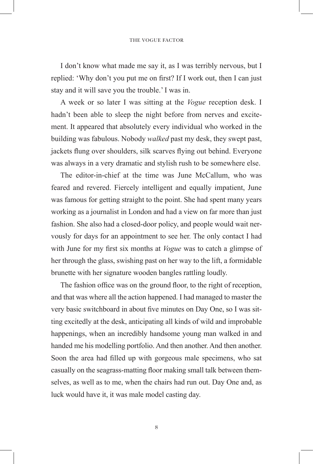I don't know what made me say it, as I was terribly nervous, but I replied: 'Why don't you put me on first? If I work out, then I can just stay and it will save you the trouble.' I was in.

A week or so later I was sitting at the *Vogue* reception desk. I hadn't been able to sleep the night before from nerves and excitement. It appeared that absolutely every individual who worked in the building was fabulous. Nobody *walked* past my desk, they swept past, jackets flung over shoulders, silk scarves flying out behind. Everyone was always in a very dramatic and stylish rush to be somewhere else.

The editor-in-chief at the time was June McCallum, who was feared and revered. Fiercely intelligent and equally impatient, June was famous for getting straight to the point. She had spent many years working as a journalist in London and had a view on far more than just fashion. She also had a closed-door policy, and people would wait nervously for days for an appointment to see her. The only contact I had with June for my first six months at *Vogue* was to catch a glimpse of her through the glass, swishing past on her way to the lift, a formidable brunette with her signature wooden bangles rattling loudly.

The fashion office was on the ground floor, to the right of reception, and that was where all the action happened. I had managed to master the very basic switchboard in about five minutes on Day One, so I was sitting excitedly at the desk, anticipating all kinds of wild and improbable happenings, when an incredibly handsome young man walked in and handed me his modelling portfolio. And then another. And then another. Soon the area had filled up with gorgeous male specimens, who sat casually on the seagrass-matting floor making small talk between themselves, as well as to me, when the chairs had run out. Day One and, as luck would have it, it was male model casting day.